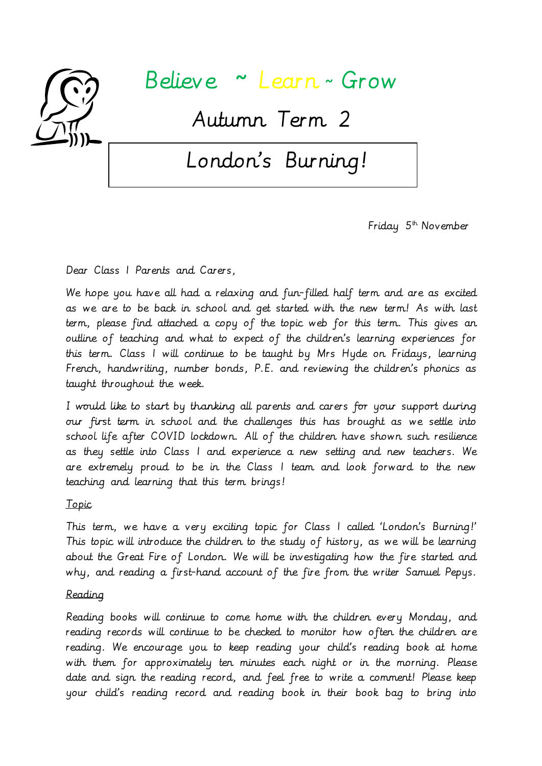

## Believe ~ Learn <sup>~</sup>Grow

Autumn Term 2

# London's Burning!

Friday  $5<sup>th</sup>$  November

Dear Class 1 Parents and Carers,

We hope you have all had a relaxing and fun-filled half term and are as excited as we are to be back in school and get started with the new term! As with last term, please find attached a copy of the topic web for this term. This gives an outline of teaching and what to expect of the children's learning experiences for this term. Class 1 will continue to be taught by Mrs Hyde on Fridays, learning French, handwriting, number bonds, P.E. and reviewing the children's phonics as taught throughout the week.

I would like to start by thanking all parents and carers for your support during our first term in school and the challenges this has brought as we settle into school life after COVID lockdown. All of the children have shown such resilience as they settle into Class 1 and experience a new setting and new teachers. We are extremely proud to be in the Class 1 team and look forward to the new teaching and learning that this term brings!

### Topic

This term, we have a very exciting topic for Class 1 called 'London's Burning!' This topic will introduce the children to the study of history, as we will be learning about the Great Fire of London. We will be investigating how the fire started and why, and reading a first-hand account of the fire from the writer Samuel Pepys.

#### Reading

Reading books will continue to come home with the children every Monday, and reading records will continue to be checked to monitor how often the children are reading. We encourage you to keep reading your child's reading book at home with them for approximately ten minutes each night or in the morning. Please date and sign the reading record, and feel free to write a comment! Please keep your child's reading record and reading book in their book bag to bring into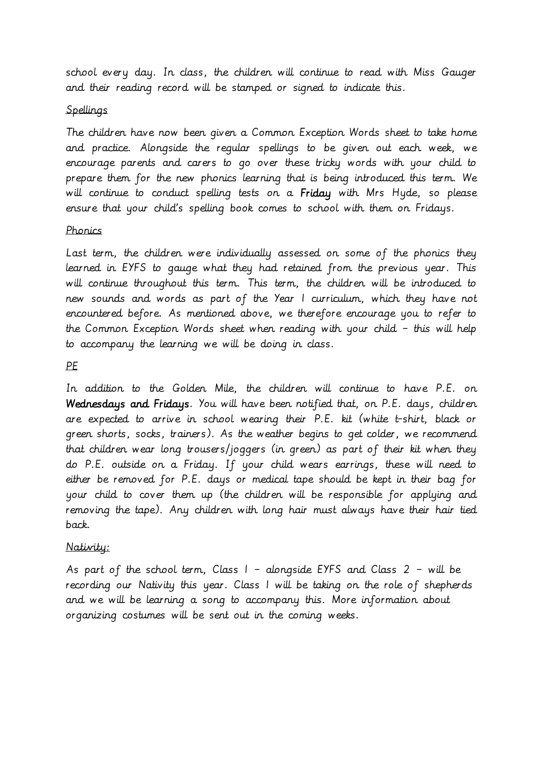school every day. In class, the children will continue to read with Miss Gauger and their reading record will be stamped or signed to indicate this.

#### Spellings

The children have now been given a Common Exception Words sheet to take home and practice. Alongside the regular spellings to be given out each week, we encourage parents and carers to go over these tricky words with your child to prepare them for the new phonics learning that is being introduced this term. We will continue to conduct spelling tests on a Friday with Mrs Hyde, so please ensure that your child's spelling book comes to school with them on Fridays.

#### Phonics

Last term, the children were individually assessed on some of the phonics they learned in EYFS to gauge what they had retained from the previous year. This will continue throughout this term. This term, the children will be introduced to new sounds and words as part of the Year 1 curriculum, which they have not encountered before. As mentioned above, we therefore encourage you to refer to the Common Exception Words sheet when reading with your child – this will help to accompany the learning we will be doing in class.

#### PE

In addition to the Golden Mile, the children will continue to have P.E. on Wednesdays and Fridays. You will have been notified that, on P.E. days, children are expected to arrive in school wearing their P.E. kit (white t-shirt, black or green shorts, socks, trainers). As the weather begins to get colder, we recommend that children wear long trousers/joggers (in green) as part of their kit when they do P.E. outside on a Friday. If your child wears earrings, these will need to either be removed for P.E. days or medical tape should be kept in their bag for your child to cover them up (the children will be responsible for applying and removing the tape). Any children with long hair must always have their hair tied back.

#### Nativity:

As part of the school term, Class  $1 -$  alongside EYFS and Class  $2 -$  will be recording our Nativity this year. Class 1 will be taking on the role of shepherds and we will be learning a song to accompany this. More information about organizing costumes will be sent out in the coming weeks.